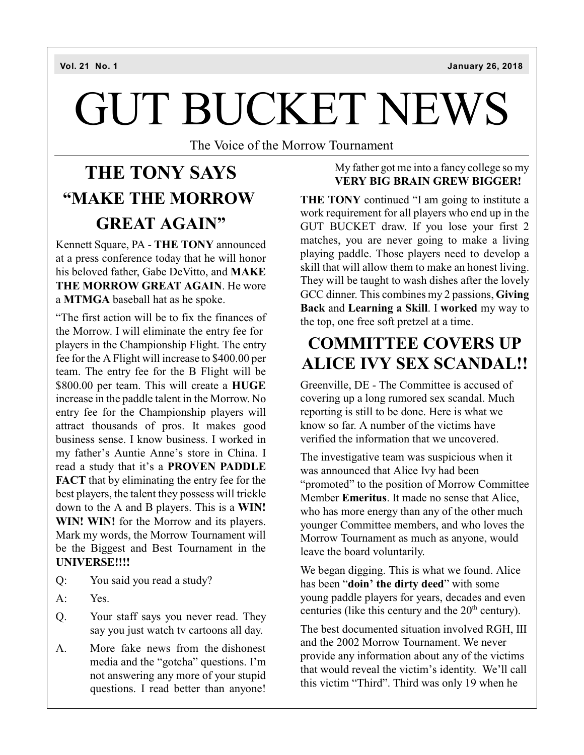# GUT BUCKET NEWS

The Voice of the Morrow Tournament

# **THE TONY SAYS "MAKE THE MORROW GREAT AGAIN"**

Kennett Square, PA - **THE TONY** announced at a press conference today that he will honor his beloved father, Gabe DeVitto, and **MAKE THE MORROW GREAT AGAIN**. He wore a **MTMGA** baseball hat as he spoke.

"The first action will be to fix the finances of the Morrow. I will eliminate the entry fee for players in the Championship Flight. The entry fee for the A Flight will increase to \$400.00 per team. The entry fee for the B Flight will be \$800.00 per team. This will create a **HUGE** increase in the paddle talent in the Morrow. No entry fee for the Championship players will attract thousands of pros. It makes good business sense. I know business. I worked in my father's Auntie Anne's store in China. I read a study that it's a **PROVEN PADDLE FACT** that by eliminating the entry fee for the best players, the talent they possess will trickle down to the A and B players. This is a **WIN! WIN! WIN!** for the Morrow and its players. Mark my words, the Morrow Tournament will be the Biggest and Best Tournament in the **UNIVERSE!!!!**

- Q: You said you read a study?
- A: Yes.
- Q. Your staff says you never read. They say you just watch tv cartoons all day.
- A. More fake news from the dishonest media and the "gotcha" questions. I'm not answering any more of your stupid questions. I read better than anyone!

### My father got me into a fancy college so my **VERY BIG BRAIN GREW BIGGER!**

**THE TONY** continued "I am going to institute a work requirement for all players who end up in the GUT BUCKET draw. If you lose your first 2 matches, you are never going to make a living playing paddle. Those players need to develop a skill that will allow them to make an honest living. They will be taught to wash dishes after the lovely GCC dinner. This combines my 2 passions, **Giving Back** and **Learning a Skill**. I **worked** my way to the top, one free soft pretzel at a time.

# **COMMITTEE COVERS UP ALICE IVY SEX SCANDAL!!**

Greenville, DE - The Committee is accused of covering up a long rumored sex scandal. Much reporting is still to be done. Here is what we know so far. A number of the victims have verified the information that we uncovered.

The investigative team was suspicious when it was announced that Alice Ivy had been "promoted" to the position of Morrow Committee Member **Emeritus**. It made no sense that Alice, who has more energy than any of the other much younger Committee members, and who loves the Morrow Tournament as much as anyone, would leave the board voluntarily.

We began digging. This is what we found. Alice has been "**doin' the dirty deed**" with some young paddle players for years, decades and even centuries (like this century and the  $20<sup>th</sup>$  century).

The best documented situation involved RGH, III and the 2002 Morrow Tournament. We never provide any information about any of the victims that would reveal the victim's identity. We'll call this victim "Third". Third was only 19 when he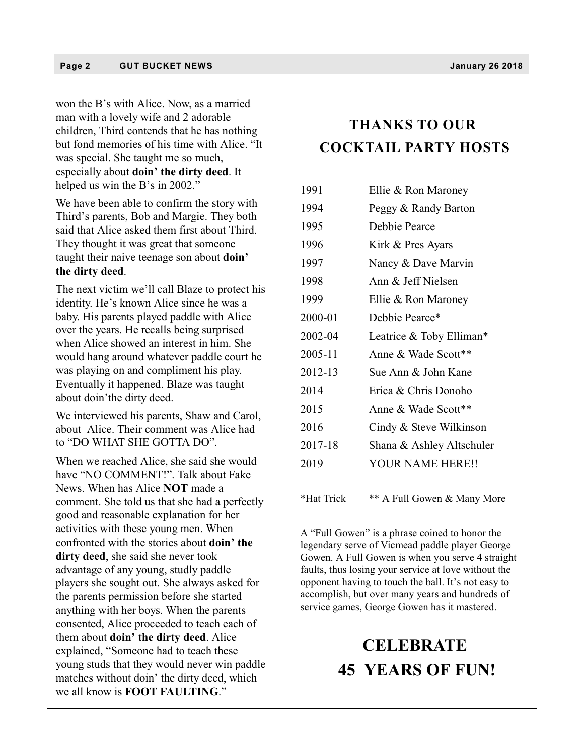won the B's with Alice. Now, as a married man with a lovely wife and 2 adorable children, Third contends that he has nothing but fond memories of his time with Alice. "It was special. She taught me so much, especially about **doin' the dirty deed**. It helped us win the B's in 2002."

We have been able to confirm the story with Third's parents, Bob and Margie. They both said that Alice asked them first about Third. They thought it was great that someone taught their naive teenage son about **doin' the dirty deed**.

The next victim we'll call Blaze to protect his identity. He's known Alice since he was a baby. His parents played paddle with Alice over the years. He recalls being surprised when Alice showed an interest in him. She would hang around whatever paddle court he was playing on and compliment his play. Eventually it happened. Blaze was taught about doin'the dirty deed.

We interviewed his parents, Shaw and Carol, about Alice. Their comment was Alice had to "DO WHAT SHE GOTTA DO".

When we reached Alice, she said she would have "NO COMMENT!". Talk about Fake News. When has Alice **NOT** made a comment. She told us that she had a perfectly good and reasonable explanation for her activities with these young men. When confronted with the stories about **doin' the dirty deed**, she said she never took advantage of any young, studly paddle players she sought out. She always asked for the parents permission before she started anything with her boys. When the parents consented, Alice proceeded to teach each of them about **doin' the dirty deed**. Alice explained, "Someone had to teach these young studs that they would never win paddle matches without doin' the dirty deed, which we all know is **FOOT FAULTING**."

## **THANKS TO OUR COCKTAIL PARTY HOSTS**

| 1991       | Ellie & Ron Maroney         |  |  |
|------------|-----------------------------|--|--|
| 1994       | Peggy & Randy Barton        |  |  |
| 1995       | Debbie Pearce               |  |  |
| 1996       | Kirk & Pres Ayars           |  |  |
| 1997       | Nancy & Dave Marvin         |  |  |
| 1998       | Ann & Jeff Nielsen          |  |  |
| 1999       | Ellie & Ron Maroney         |  |  |
| 2000-01    | Debbie Pearce*              |  |  |
| 2002-04    | Leatrice & Toby Elliman*    |  |  |
| 2005-11    | Anne & Wade Scott**         |  |  |
| 2012-13    | Sue Ann & John Kane         |  |  |
| 2014       | Erica & Chris Donoho        |  |  |
| 2015       | Anne & Wade Scott**         |  |  |
| 2016       | Cindy & Steve Wilkinson     |  |  |
| 2017-18    | Shana & Ashley Altschuler   |  |  |
| 2019       | <b>YOUR NAME HERE!!</b>     |  |  |
|            |                             |  |  |
| *Hat Trick | ** A Full Gowen & Many More |  |  |

A "Full Gowen" is a phrase coined to honor the legendary serve of Vicmead paddle player George Gowen. A Full Gowen is when you serve 4 straight faults, thus losing your service at love without the opponent having to touch the ball. It's not easy to accomplish, but over many years and hundreds of service games, George Gowen has it mastered.

# **CELEBRATE 45 YEARS OF FUN!**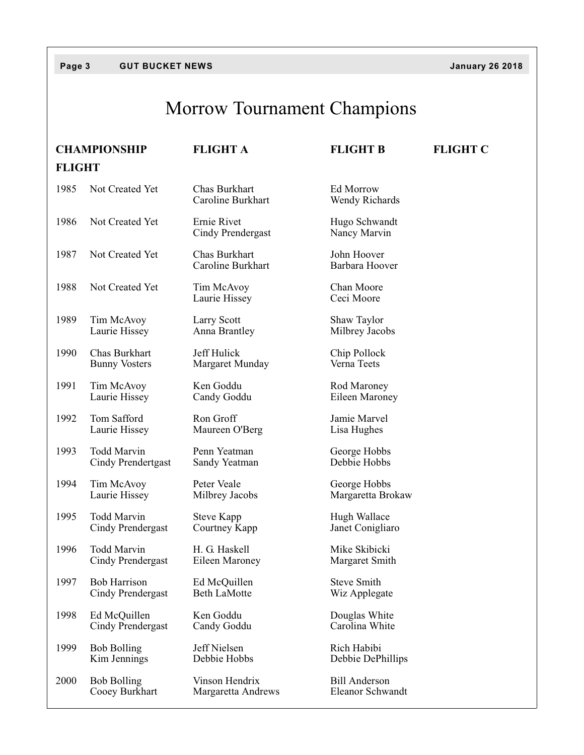## **Page 3 GUT BUCKET NEWS January 26 2018**

# Morrow Tournament Champions

|               | <b>CHAMPIONSHIP</b>                      | <b>FLIGHT A</b>                         | <b>FLIGHT B</b>                          | <b>FLIGHT C</b> |  |  |  |
|---------------|------------------------------------------|-----------------------------------------|------------------------------------------|-----------------|--|--|--|
| <b>FLIGHT</b> |                                          |                                         |                                          |                 |  |  |  |
| 1985          | Not Created Yet                          | Chas Burkhart<br>Caroline Burkhart      | Ed Morrow<br><b>Wendy Richards</b>       |                 |  |  |  |
| 1986          | Not Created Yet                          | Ernie Rivet<br><b>Cindy Prendergast</b> | Hugo Schwandt<br>Nancy Marvin            |                 |  |  |  |
| 1987          | Not Created Yet                          | Chas Burkhart<br>Caroline Burkhart      | John Hoover<br>Barbara Hoover            |                 |  |  |  |
| 1988          | Not Created Yet                          | Tim McAvoy<br>Laurie Hissey             | Chan Moore<br>Ceci Moore                 |                 |  |  |  |
| 1989          | Tim McAvoy<br>Laurie Hissey              | Larry Scott<br>Anna Brantley            | Shaw Taylor<br>Milbrey Jacobs            |                 |  |  |  |
| 1990          | Chas Burkhart<br><b>Bunny Vosters</b>    | Jeff Hulick<br>Margaret Munday          | Chip Pollock<br>Verna Teets              |                 |  |  |  |
| 1991          | Tim McAvoy<br>Laurie Hissey              | Ken Goddu<br>Candy Goddu                | Rod Maroney<br>Eileen Maroney            |                 |  |  |  |
| 1992          | Tom Safford<br>Laurie Hissey             | Ron Groff<br>Maureen O'Berg             | Jamie Marvel<br>Lisa Hughes              |                 |  |  |  |
| 1993          | <b>Todd Marvin</b><br>Cindy Prendertgast | Penn Yeatman<br>Sandy Yeatman           | George Hobbs<br>Debbie Hobbs             |                 |  |  |  |
| 1994          | Tim McAvoy<br>Laurie Hissey              | Peter Veale<br>Milbrey Jacobs           | George Hobbs<br>Margaretta Brokaw        |                 |  |  |  |
| 1995          | <b>Todd Marvin</b><br>Cindy Prendergast  | Steve Kapp<br>Courtney Kapp             | Hugh Wallace<br>Janet Conigliaro         |                 |  |  |  |
| 1996          | Todd Marvin<br>Cindy Prendergast         | H. G. Haskell<br>Eileen Maroney         | Mike Skibicki<br>Margaret Smith          |                 |  |  |  |
| 1997          | <b>Bob Harrison</b><br>Cindy Prendergast | Ed McQuillen<br><b>Beth LaMotte</b>     | <b>Steve Smith</b><br>Wiz Applegate      |                 |  |  |  |
| 1998          | Ed McQuillen<br>Cindy Prendergast        | Ken Goddu<br>Candy Goddu                | Douglas White<br>Carolina White          |                 |  |  |  |
| 1999          | <b>Bob Bolling</b><br>Kim Jennings       | Jeff Nielsen<br>Debbie Hobbs            | Rich Habibi<br>Debbie DePhillips         |                 |  |  |  |
| 2000          | <b>Bob Bolling</b><br>Cooey Burkhart     | Vinson Hendrix<br>Margaretta Andrews    | <b>Bill Anderson</b><br>Eleanor Schwandt |                 |  |  |  |